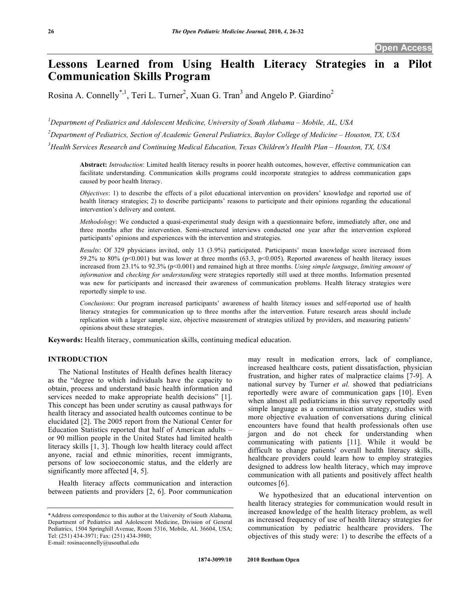# **Lessons Learned from Using Health Literacy Strategies in a Pilot Communication Skills Program**

Rosina A. Connelly<sup>\*,1</sup>, Teri L. Turner<sup>2</sup>, Xuan G. Tran<sup>3</sup> and Angelo P. Giardino<sup>2</sup>

*1 Department of Pediatrics and Adolescent Medicine, University of South Alabama – Mobile, AL, USA* 

*2 Department of Pediatrics, Section of Academic General Pediatrics, Baylor College of Medicine – Houston, TX, USA* 

*3 Health Services Research and Continuing Medical Education, Texas Children's Health Plan – Houston, TX, USA* 

**Abstract:** *Introduction*: Limited health literacy results in poorer health outcomes, however, effective communication can facilitate understanding. Communication skills programs could incorporate strategies to address communication gaps caused by poor health literacy.

*Objectives*: 1) to describe the effects of a pilot educational intervention on providers' knowledge and reported use of health literacy strategies; 2) to describe participants' reasons to participate and their opinions regarding the educational intervention's delivery and content.

*Methodology*: We conducted a quasi-experimental study design with a questionnaire before, immediately after, one and three months after the intervention. Semi-structured interviews conducted one year after the intervention explored participants' opinions and experiences with the intervention and strategies.

*Results*: Of 329 physicians invited, only 13 (3.9%) participated. Participants' mean knowledge score increased from 59.2% to 80% (p<0.001) but was lower at three months (63.3, p<0.005). Reported awareness of health literacy issues increased from 23.1% to 92.3% (p<0.001) and remained high at three months. *Using simple language*, *limiting amount of information* and *checking for understanding* were strategies reportedly still used at three months. Information presented was new for participants and increased their awareness of communication problems. Health literacy strategies were reportedly simple to use.

*Conclusions*: Our program increased participants' awareness of health literacy issues and self-reported use of health literacy strategies for communication up to three months after the intervention. Future research areas should include replication with a larger sample size, objective measurement of strategies utilized by providers, and measuring patients' opinions about these strategies.

**Keywords:** Health literacy, communication skills, continuing medical education.

# **INTRODUCTION**

 The National Institutes of Health defines health literacy as the "degree to which individuals have the capacity to obtain, process and understand basic health information and services needed to make appropriate health decisions" [1]. This concept has been under scrutiny as causal pathways for health literacy and associated health outcomes continue to be elucidated [2]. The 2005 report from the National Center for Education Statistics reported that half of American adults – or 90 million people in the United States had limited health literacy skills [1, 3]. Though low health literacy could affect anyone, racial and ethnic minorities, recent immigrants, persons of low socioeconomic status, and the elderly are significantly more affected [4, 5].

 Health literacy affects communication and interaction between patients and providers [2, 6]. Poor communication

may result in medication errors, lack of compliance, increased healthcare costs, patient dissatisfaction, physician frustration, and higher rates of malpractice claims [7-9]. A national survey by Turner *et al.* showed that pediatricians reportedly were aware of communication gaps [10]. Even when almost all pediatricians in this survey reportedly used simple language as a communication strategy, studies with more objective evaluation of conversations during clinical encounters have found that health professionals often use jargon and do not check for understanding when communicating with patients [11]. While it would be difficult to change patients' overall health literacy skills, healthcare providers could learn how to employ strategies designed to address low health literacy, which may improve communication with all patients and positively affect health outcomes [6].

 We hypothesized that an educational intervention on health literacy strategies for communication would result in increased knowledge of the health literacy problem, as well as increased frequency of use of health literacy strategies for communication by pediatric healthcare providers. The objectives of this study were: 1) to describe the effects of a

<sup>\*</sup>Address correspondence to this author at the University of South Alabama, Department of Pediatrics and Adolescent Medicine, Division of General Pediatrics, 1504 Springhill Avenue, Room 5316, Mobile, AL 36604, USA; Tel: (251) 434-3971; Fax: (251) 434-3980; E-mail: rosinaconnelly@usouthal.edu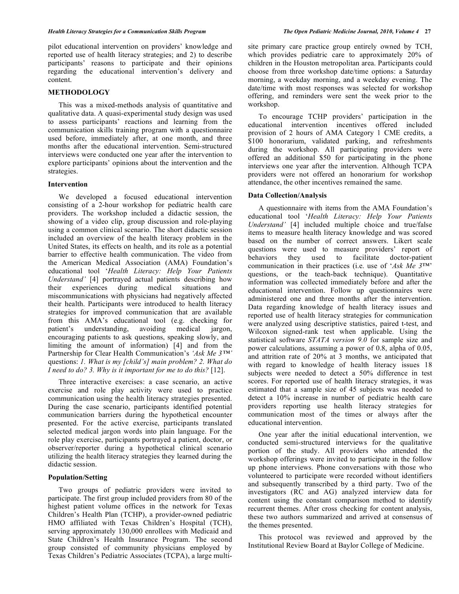# **METHODOLOGY**

content.

 This was a mixed-methods analysis of quantitative and qualitative data. A quasi-experimental study design was used to assess participants' reactions and learning from the communication skills training program with a questionnaire used before, immediately after, at one month, and three months after the educational intervention. Semi-structured interviews were conducted one year after the intervention to explore participants' opinions about the intervention and the strategies.

# **Intervention**

 We developed a focused educational intervention consisting of a 2-hour workshop for pediatric health care providers. The workshop included a didactic session, the showing of a video clip, group discussion and role-playing using a common clinical scenario. The short didactic session included an overview of the health literacy problem in the United States, its effects on health, and its role as a potential barrier to effective health communication. The video from the American Medical Association (AMA) Foundation's educational tool '*Health Literacy: Help Your Patients Understand'* [4] portrayed actual patients describing how their experiences during medical situations and miscommunications with physicians had negatively affected their health. Participants were introduced to health literacy strategies for improved communication that are available from this AMA's educational tool (e.g. checking for patient's understanding, avoiding medical jargon, encouraging patients to ask questions, speaking slowly, and limiting the amount of information) [4] and from the Partnership for Clear Health Communication's *'Ask Me 3™'*  questions: *1. What is my [child's] main problem? 2. What do I need to do? 3. Why is it important for me to do this?* [12].

 Three interactive exercises: a case scenario, an active exercise and role play activity were used to practice communication using the health literacy strategies presented. During the case scenario, participants identified potential communication barriers during the hypothetical encounter presented. For the active exercise, participants translated selected medical jargon words into plain language. For the role play exercise, participants portrayed a patient, doctor, or observer/reporter during a hypothetical clinical scenario utilizing the health literacy strategies they learned during the didactic session.

# **Population/Setting**

 Two groups of pediatric providers were invited to participate. The first group included providers from 80 of the highest patient volume offices in the network for Texas Children's Health Plan (TCHP), a provider-owned pediatric HMO affiliated with Texas Children's Hospital (TCH), serving approximately 130,000 enrollees with Medicaid and State Children's Health Insurance Program. The second group consisted of community physicians employed by Texas Children's Pediatric Associates (TCPA), a large multisite primary care practice group entirely owned by TCH, which provides pediatric care to approximately 20% of children in the Houston metropolitan area. Participants could choose from three workshop date/time options: a Saturday morning, a weekday morning, and a weekday evening. The date/time with most responses was selected for workshop offering, and reminders were sent the week prior to the workshop.

 To encourage TCHP providers' participation in the educational intervention incentives offered included provision of 2 hours of AMA Category 1 CME credits, a \$100 honorarium, validated parking, and refreshments during the workshop. All participating providers were offered an additional \$50 for participating in the phone interviews one year after the intervention. Although TCPA providers were not offered an honorarium for workshop attendance, the other incentives remained the same.

## **Data Collection/Analysis**

 A questionnaire with items from the AMA Foundation's educational tool '*Health Literacy: Help Your Patients Understand'* [4] included multiple choice and true/false items to measure health literacy knowledge and was scored based on the number of correct answers. Likert scale questions were used to measure providers' report of behaviors they used to facilitate doctor-patient communication in their practices (i.e. use of '*Ask Me 3*™' questions, or the teach-back technique). Quantitative information was collected immediately before and after the educational intervention. Follow up questionnaires were administered one and three months after the intervention. Data regarding knowledge of health literacy issues and reported use of health literacy strategies for communication were analyzed using descriptive statistics, paired t-test, and Wilcoxon signed-rank test when applicable. Using the statistical software *STATA version 9.0* for sample size and power calculations, assuming a power of 0.8, alpha of 0.05, and attrition rate of 20% at 3 months, we anticipated that with regard to knowledge of health literacy issues 18 subjects were needed to detect a 50% difference in test scores. For reported use of health literacy strategies, it was estimated that a sample size of 45 subjects was needed to detect a 10% increase in number of pediatric health care providers reporting use health literacy strategies for communication most of the times or always after the educational intervention.

 One year after the initial educational intervention, we conducted semi-structured interviews for the qualitative portion of the study. All providers who attended the workshop offerings were invited to participate in the follow up phone interviews. Phone conversations with those who volunteered to participate were recorded without identifiers and subsequently transcribed by a third party. Two of the investigators (RC and AG) analyzed interview data for content using the constant comparison method to identify recurrent themes. After cross checking for content analysis, these two authors summarized and arrived at consensus of the themes presented.

 This protocol was reviewed and approved by the Institutional Review Board at Baylor College of Medicine.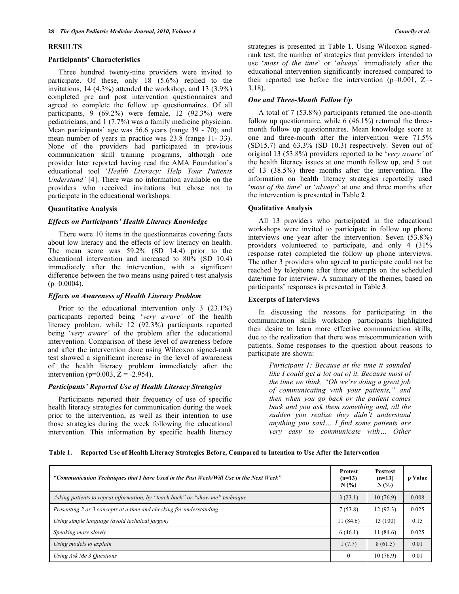## **RESULTS**

## **Participants' Characteristics**

 Three hundred twenty-nine providers were invited to participate. Of these, only 18 (5.6%) replied to the invitations, 14 (4.3%) attended the workshop, and 13 (3.9%) completed pre and post intervention questionnaires and agreed to complete the follow up questionnaires. Of all participants, 9 (69.2%) were female, 12 (92.3%) were pediatricians, and 1 (7.7%) was a family medicine physician. Mean participants' age was 56.6 years (range 39 - 70); and mean number of years in practice was 23.8 (range 11- 33). None of the providers had participated in previous communication skill training programs, although one provider later reported having read the AMA Foundation's educational tool '*Health Literacy: Help Your Patients Understand'* [4]. There was no information available on the providers who received invitations but chose not to participate in the educational workshops.

## **Quantitative Analysis**

## *Effects on Participants' Health Literacy Knowledge*

 There were 10 items in the questionnaires covering facts about low literacy and the effects of low literacy on health. The mean score was 59.2% (SD 14.4) prior to the educational intervention and increased to 80% (SD 10.4) immediately after the intervention, with a significant difference between the two means using paired t-test analysis  $(p=0.0004)$ .

#### *Effects on Awareness of Health Literacy Problem*

 Prior to the educational intervention only 3 (23.1%) participants reported being '*very aware'* of the health literacy problem, while 12 (92.3%) participants reported being '*very aware'* of the problem after the educational intervention. Comparison of these level of awareness before and after the intervention done using Wilcoxon signed-rank test showed a significant increase in the level of awareness of the health literacy problem immediately after the intervention ( $p=0.003$ ,  $Z = -2.954$ ).

## *Participants' Reported Use of Health Literacy Strategies*

 Participants reported their frequency of use of specific health literacy strategies for communication during the week prior to the intervention, as well as their intention to use those strategies during the week following the educational intervention. This information by specific health literacy

strategies is presented in Table **1**. Using Wilcoxon signedrank test, the number of strategies that providers intended to use '*most of the time*' or '*always*' immediately after the educational intervention significantly increased compared to their reported use before the intervention ( $p=0.001$ ,  $Z=$ 3.18).

## *One and Three-Month Follow Up*

 A total of 7 (53.8%) participants returned the one-month follow up questionnaire, while  $6(46.1\%)$  returned the threemonth follow up questionnaires. Mean knowledge score at one and three-month after the intervention were 71.5% (SD15.7) and 63.3% (SD 10.3) respectively. Seven out of original 13 (53.8%) providers reported to be '*very aware'* of the health literacy issues at one month follow up, and 5 out of 13 (38.5%) three months after the intervention. The information on health literacy strategies reportedly used '*most of the time*' or '*always*' at one and three months after the intervention is presented in Table **2**.

## **Qualitative Analysis**

 All 13 providers who participated in the educational workshops were invited to participate in follow up phone interviews one year after the intervention. Seven (53.8%) providers volunteered to participate, and only 4 (31% response rate) completed the follow up phone interviews. The other 3 providers who agreed to participate could not be reached by telephone after three attempts on the scheduled date/time for interview. A summary of the themes, based on participants' responses is presented in Table **3**.

## **Excerpts of Interviews**

 In discussing the reasons for participating in the communication skills workshop participants highlighted their desire to learn more effective communication skills, due to the realization that there was miscommunication with patients. Some responses to the question about reasons to participate are shown:

> *Participant 1: Because at the time it sounded like I could get a lot out of it. Because most of the time we think, "Oh we're doing a great job of communicating with your patients," and then when you go back or the patient comes back and you ask them something and, all the sudden you realize they didn't understand anything you said… I find some patients are very easy to communicate with… Other*

#### **Table 1. Reported Use of Health Literacy Strategies Before, Compared to Intention to Use After the Intervention**

| "Communication Techniques that I have Used in the Past Week/Will Use in the Next Week" | <b>Pretest</b><br>$(n=13)$<br>N(%) | Posttest<br>$(n=13)$<br>$N(\%)$ | p Value |
|----------------------------------------------------------------------------------------|------------------------------------|---------------------------------|---------|
| Asking patients to repeat information, by "teach back" or "show me" technique          | 3(23.1)                            | 10(76.9)                        | 0.008   |
| Presenting 2 or 3 concepts at a time and checking for understanding                    | 7(53.8)                            | 12(92.3)                        | 0.025   |
| Using simple language (avoid technical jargon)                                         | 11(84.6)                           | 13 (100)                        | 0.15    |
| Speaking more slowly                                                                   | 6(46.1)                            | 11 (84.6)                       | 0.025   |
| Using models to explain                                                                | 1(7.7)                             | 8(61.5)                         | 0.01    |
| Using Ask Me 3 Questions                                                               | $\theta$                           | 10(76.9)                        | 0.01    |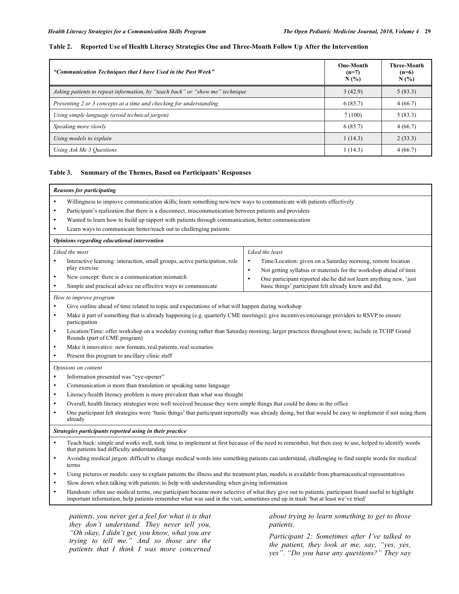# **Table 2. Reported Use of Health Literacy Strategies One and Three-Month Follow Up After the Intervention**

| "Communication Techniques that I have Used in the Past Week"                  | <b>One-Month</b><br>$(n=7)$<br>N(% | <b>Three-Month</b><br>$(n=6)$<br>N(% |
|-------------------------------------------------------------------------------|------------------------------------|--------------------------------------|
| Asking patients to repeat information, by "teach back" or "show me" technique | 3(42.9)                            | 5(83.3)                              |
| Presenting 2 or 3 concepts at a time and checking for understanding           | 6(85.7)                            | 4(66.7)                              |
| Using simple language (avoid technical jargon)                                | 7(100)                             | 5(83.3)                              |
| Speaking more slowly                                                          | 6(85.7)                            | 4(66.7)                              |
| Using models to explain                                                       | 1(14.3)                            | 2(33.3)                              |
| Using Ask Me 3 Questions                                                      | 1(14.3)                            | 4(66.7)                              |

# **Table 3. Summary of the Themes, Based on Participants' Responses**

| <b>Reasons for participating</b>                                                                                                                                                                                                                                                                                                                                                                                                                                                                                                                                                                                                                         |                                                                                                                                                                                                                                                                                                                                                                                                                                                            |  |
|----------------------------------------------------------------------------------------------------------------------------------------------------------------------------------------------------------------------------------------------------------------------------------------------------------------------------------------------------------------------------------------------------------------------------------------------------------------------------------------------------------------------------------------------------------------------------------------------------------------------------------------------------------|------------------------------------------------------------------------------------------------------------------------------------------------------------------------------------------------------------------------------------------------------------------------------------------------------------------------------------------------------------------------------------------------------------------------------------------------------------|--|
| Willingness to improve communication skills; learn something new/new ways to communicate with patients effectively<br>$\bullet$<br>Participant's realization that there is a disconnect, miscommunication between patients and providers<br>$\bullet$<br>Wanted to learn how to build up rapport with patients through communication, better communication<br>$\bullet$<br>Learn ways to communicate better/reach out to challenging patients<br>$\bullet$                                                                                                                                                                                               |                                                                                                                                                                                                                                                                                                                                                                                                                                                            |  |
| Opinions regarding educational intervention                                                                                                                                                                                                                                                                                                                                                                                                                                                                                                                                                                                                              |                                                                                                                                                                                                                                                                                                                                                                                                                                                            |  |
| Liked the most<br>Interactive learning: interaction, small groups, active participation, role<br>$\bullet$<br>play exercise<br>New concept: there is a communication mismatch<br>$\bullet$<br>Simple and practical advice on effective ways to communicate<br>$\bullet$                                                                                                                                                                                                                                                                                                                                                                                  | Liked the least<br>Time/Location: given on a Saturday morning, remote location<br>$\bullet$<br>Not getting syllabus or materials for the workshop ahead of time<br>$\bullet$<br>One participant reported she/he did not learn anything new, 'just<br>$\bullet$<br>basic things' participant felt already knew and did                                                                                                                                      |  |
| How to improve program<br>Give outline ahead of time related to topic and expectations of what will happen during workshop<br>$\bullet$<br>Make it part of something that is already happening (e.g. quarterly CME meetings); give incentives/encourage providers to RSVP to ensure<br>$\bullet$<br>participation<br>Location/Time: offer workshop on a weekday evening rather than Saturday morning; larger practices throughout town; include in TCHP Grand<br>$\bullet$<br>Rounds (part of CME program)<br>Make it innovative: new formats, real patients, real scenarios<br>$\bullet$<br>Present this program to ancillary clinic staff<br>$\bullet$ |                                                                                                                                                                                                                                                                                                                                                                                                                                                            |  |
| Opinions on content<br>Information presented was "eye-opener"<br>$\bullet$<br>Communication is more than translation or speaking same language<br>$\bullet$<br>Literacy/health literacy problem is more prevalent than what was thought<br>$\bullet$<br>Overall, health literacy strategies were well received because they were simple things that could be done in the office<br>$\bullet$<br>$\bullet$<br>already                                                                                                                                                                                                                                     | One participant felt strategies were 'basic things' that participant reportedly was already doing, but that would be easy to implement if not using them                                                                                                                                                                                                                                                                                                   |  |
| Strategies participants reported using in their practice                                                                                                                                                                                                                                                                                                                                                                                                                                                                                                                                                                                                 |                                                                                                                                                                                                                                                                                                                                                                                                                                                            |  |
| $\bullet$<br>that patients had difficulty understanding<br>$\bullet$<br>terms<br>Using pictures or models: easy to explain patients the illness and the treatment plan, models is available from pharmaceutical representatives<br>$\bullet$<br>Slow down when talking with patients: to help with understanding when giving information<br>$\bullet$<br>٠<br>important information, help patients remember what was said in the visit, sometimes end up in trash 'but at least we've tried'                                                                                                                                                             | Teach back: simple and works well, took time to implement at first because of the need to remember, but then easy to use, helped to identify words<br>Avoiding medical jargon: difficult to change medical words into something patients can understand, challenging to find simple words for medical<br>Handouts: often use medical terms, one participant became more selective of what they give out to patients, participant found useful to highlight |  |
| patients, you never get a feel for what it is that                                                                                                                                                                                                                                                                                                                                                                                                                                                                                                                                                                                                       | about trying to learn something to get to those                                                                                                                                                                                                                                                                                                                                                                                                            |  |

*they don't understand. They never tell you, "Oh okay, I didn't get, you know, what you are trying to tell me." And so those are the patients that I think I was more concerned*  *patients.* 

*Participant 2: Sometimes after I've talked to the patient, they look at me, say, "yes, yes, yes". "Do you have any questions?" They say*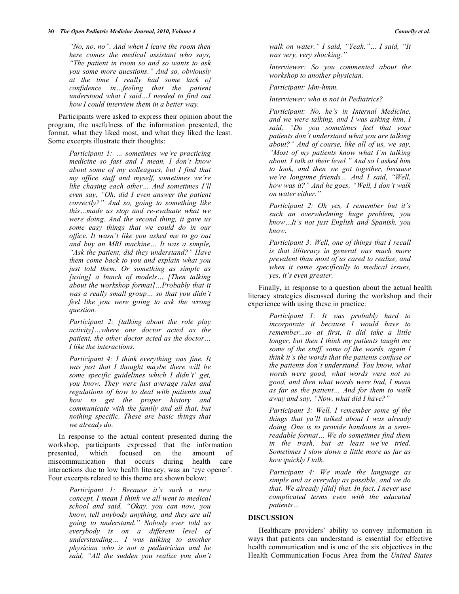*"No, no, no". And when I leave the room then here comes the medical assistant who says, "The patient in room so and so wants to ask you some more questions." And so, obviously at the time I really had some lack of confidence in…feeling that the patient understood what I said…I needed to find out how I could interview them in a better way.* 

 Participants were asked to express their opinion about the program, the usefulness of the information presented, the format, what they liked most, and what they liked the least. Some excerpts illustrate their thoughts:

> *Participant 1: … sometimes we're practicing medicine so fast and I mean, I don't know about some of my colleagues, but I find that my office staff and myself, sometimes we're like chasing each other… And sometimes I'll even say, "Oh, did I even answer the patient correctly?" And so, going to something like this…made us stop and re-evaluate what we were doing. And the second thing, it gave us some easy things that we could do in our office. It wasn't like you asked me to go out and buy an MRI machine… It was a simple, "Ask the patient, did they understand?" Have them come back to you and explain what you just told them. Or something as simple as [using] a bunch of models… [Then talking about the workshop format]…Probably that it was a really small group… so that you didn't feel like you were going to ask the wrong question.*

*Participant 2: [talking about the role play activity]…where one doctor acted as the patient, the other doctor acted as the doctor… I like the interactions.* 

*Participant 4: I think everything was fine. It was just that I thought maybe there will be some specific guidelines which I didn't' get, you know. They were just average rules and regulations of how to deal with patients and how to get the proper history and communicate with the family and all that, but nothing specific. These are basic things that we already do.* 

 In response to the actual content presented during the workshop, participants expressed that the information presented, which focused on the amount of miscommunication that occurs during health care interactions due to low health literacy, was an 'eye opener'. Four excerpts related to this theme are shown below:

> *Participant 1: Because it's such a new concept, I mean I think we all went to medical school and said, "Okay, you can now, you know, tell anybody anything, and they are all going to understand." Nobody ever told us everybody is on a different level of understanding… I was talking to another physician who is not a pediatrician and he said, "All the sudden you realize you don't*

*walk on water." I said, "Yeah."… I said, "It was very, very shocking."* 

*Interviewer: So you commented about the workshop to another physician.* 

*Participant: Mm-hmm.* 

*Interviewer: who is not in Pediatrics?* 

*Participant: No, he's in Internal Medicine, and we were talking, and I was asking him, I said, "Do you sometimes feel that your patients don't understand what you are talking about?" And of course, like all of us, we say, "Most of my patients know what I'm talking about. I talk at their level." And so I asked him to look, and then we got together, because we're longtime friends… And I said, "Well, how was it?" And he goes, "Well, I don't walk on water either."* 

*Participant 2: Oh yes, I remember but it's such an overwhelming huge problem, you know…It's not just English and Spanish, you know.* 

*Participant 3: Well, one of things that I recall is that illiteracy in general was much more prevalent than most of us cared to realize, and when it came specifically to medical issues, yes, it's even greater.* 

 Finally, in response to a question about the actual health literacy strategies discussed during the workshop and their experience with using these in practice:

> *Participant 1: It was probably hard to incorporate it because I would have to remember...so at first, it did take a little longer, but then I think my patients taught me some of the stuff, some of the words, again I think it's the words that the patients confuse or the patients don't understand. You know, what words were good, what words were not so good, and then what words were bad, I mean as far as the patient… And for them to walk away and say, "Now, what did I have?"*

> *Participant 3: Well, I remember some of the things that ya'll talked about I was already doing. One is to provide handouts in a semireadable format… We do sometimes find them in the trash, but at least we've tried. Sometimes I slow down a little more as far as how quickly I talk.*

> *Participant 4: We made the language as simple and as everyday as possible, and we do that. We already [did] that. In fact, I never use complicated terms even with the educated patients…*

# **DISCUSSION**

 Healthcare providers' ability to convey information in ways that patients can understand is essential for effective health communication and is one of the six objectives in the Health Communication Focus Area from the *United States*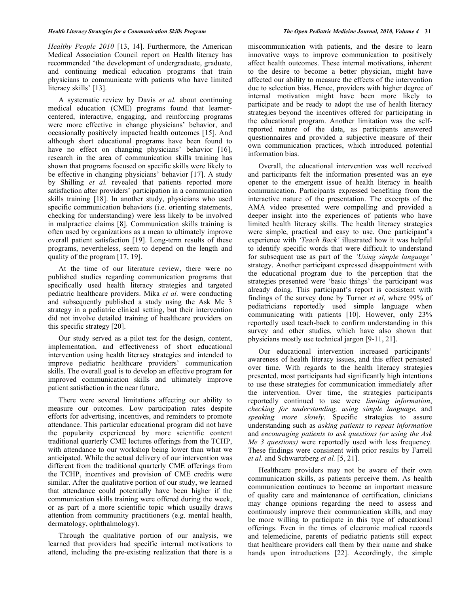*Healthy People 2010* [13, 14]. Furthermore, the American Medical Association Council report on Health literacy has recommended 'the development of undergraduate, graduate, and continuing medical education programs that train physicians to communicate with patients who have limited literacy skills' [13].

 A systematic review by Davis *et al.* about continuing medical education (CME) programs found that learnercentered, interactive, engaging, and reinforcing programs were more effective in change physicians' behavior, and occasionally positively impacted health outcomes [15]. And although short educational programs have been found to have no effect on changing physicians' behavior [16], research in the area of communication skills training has shown that programs focused on specific skills were likely to be effective in changing physicians' behavior [17]. A study by Shilling *et al.* revealed that patients reported more satisfaction after providers' participation in a communication skills training [18]. In another study, physicians who used specific communication behaviors (i.e. orienting statements, checking for understanding) were less likely to be involved in malpractice claims [8]. Communication skills training is often used by organizations as a mean to ultimately improve overall patient satisfaction [19]. Long-term results of these programs, nevertheless, seem to depend on the length and quality of the program [17, 19].

 At the time of our literature review, there were no published studies regarding communication programs that specifically used health literacy strategies and targeted pediatric healthcare providers. Mika *et al.* were conducting and subsequently published a study using the Ask Me 3 strategy in a pediatric clinical setting, but their intervention did not involve detailed training of healthcare providers on this specific strategy [20].

 Our study served as a pilot test for the design, content, implementation, and effectiveness of short educational intervention using health literacy strategies and intended to improve pediatric healthcare providers' communication skills. The overall goal is to develop an effective program for improved communication skills and ultimately improve patient satisfaction in the near future.

 There were several limitations affecting our ability to measure our outcomes. Low participation rates despite efforts for advertising, incentives, and reminders to promote attendance. This particular educational program did not have the popularity experienced by more scientific content traditional quarterly CME lectures offerings from the TCHP, with attendance to our workshop being lower than what we anticipated. While the actual delivery of our intervention was different from the traditional quarterly CME offerings from the TCHP, incentives and provision of CME credits were similar. After the qualitative portion of our study, we learned that attendance could potentially have been higher if the communication skills training were offered during the week, or as part of a more scientific topic which usually draws attention from community practitioners (e.g. mental health, dermatology, ophthalmology).

 Through the qualitative portion of our analysis, we learned that providers had specific internal motivations to attend, including the pre-existing realization that there is a

miscommunication with patients, and the desire to learn innovative ways to improve communication to positively affect health outcomes. These internal motivations, inherent to the desire to become a better physician, might have affected our ability to measure the effects of the intervention due to selection bias. Hence, providers with higher degree of internal motivation might have been more likely to participate and be ready to adopt the use of health literacy strategies beyond the incentives offered for participating in the educational program. Another limitation was the selfreported nature of the data, as participants answered questionnaires and provided a subjective measure of their own communication practices, which introduced potential information bias.

 Overall, the educational intervention was well received and participants felt the information presented was an eye opener to the emergent issue of health literacy in health communication. Participants expressed benefiting from the interactive nature of the presentation. The excerpts of the AMA video presented were compelling and provided a deeper insight into the experiences of patients who have limited health literacy skills. The health literacy strategies were simple, practical and easy to use. One participant's experience with *'Teach Back'* illustrated how it was helpful to identify specific words that were difficult to understand for subsequent use as part of the *'Using simple language'*  strategy. Another participant expressed disappointment with the educational program due to the perception that the strategies presented were 'basic things' the participant was already doing. This participant's report is consistent with findings of the survey done by Turner *et al*, where 99% of pediatricians reportedly used simple language when communicating with patients [10]. However, only 23% reportedly used teach-back to confirm understanding in this survey and other studies, which have also shown that physicians mostly use technical jargon [9-11, 21].

 Our educational intervention increased participants' awareness of health literacy issues, and this effect persisted over time. With regards to the health literacy strategies presented, most participants had significantly high intentions to use these strategies for communication immediately after the intervention. Over time, the strategies participants reportedly continued to use were *limiting information*, *checking for understanding, using simple language*, and *speaking more slowly*. Specific strategies to assure understanding such as *asking patients to repeat information* and *encouraging patients to ask questions (or using the Ask Me 3 questions)* were reportedly used with less frequency*.*  These findings were consistent with prior results by Farrell *et al.* and Schwartzberg *et al.* [5, 21].

 Healthcare providers may not be aware of their own communication skills, as patients perceive them. As health communication continues to become an important measure of quality care and maintenance of certification, clinicians may change opinions regarding the need to assess and continuously improve their communication skills, and may be more willing to participate in this type of educational offerings. Even in the times of electronic medical records and telemedicine, parents of pediatric patients still expect that healthcare providers call them by their name and shake hands upon introductions [22]. Accordingly, the simple